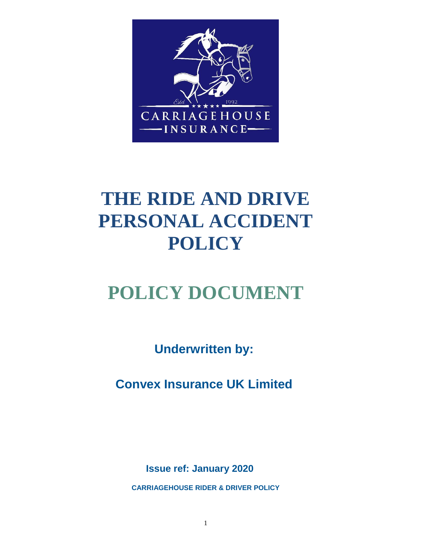

# **THE RIDE AND DRIVE PERSONAL ACCIDENT POLICY**

# **POLICY DOCUMENT**

**Underwritten by:** 

**Convex Insurance UK Limited**

**Issue ref: January 2020** 

**CARRIAGEHOUSE RIDER & DRIVER POLICY**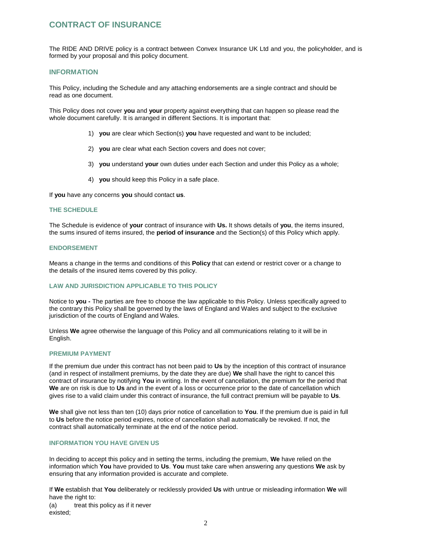# **CONTRACT OF INSURANCE**

The RIDE AND DRIVE policy is a contract between Convex Insurance UK Ltd and you, the policyholder, and is formed by your proposal and this policy document.

## **INFORMATION**

This Policy, including the Schedule and any attaching endorsements are a single contract and should be read as one document.

This Policy does not cover **you** and **your** property against everything that can happen so please read the whole document carefully. It is arranged in different Sections. It is important that:

- 1) **you** are clear which Section(s) **you** have requested and want to be included;
- 2) **you** are clear what each Section covers and does not cover;
- 3) **you** understand **your** own duties under each Section and under this Policy as a whole;
- 4) **you** should keep this Policy in a safe place.

If **you** have any concerns **you** should contact **us**.

## **THE SCHEDULE**

The Schedule is evidence of **your** contract of insurance with **Us.** It shows details of **you**, the items insured, the sums insured of items insured, the **period of insurance** and the Section(s) of this Policy which apply.

## **ENDORSEMENT**

Means a change in the terms and conditions of this **Policy** that can extend or restrict cover or a change to the details of the insured items covered by this policy.

## **LAW AND JURISDICTION APPLICABLE TO THIS POLICY**

Notice to **you -** The parties are free to choose the law applicable to this Policy. Unless specifically agreed to the contrary this Policy shall be governed by the laws of England and Wales and subject to the exclusive jurisdiction of the courts of England and Wales.

Unless **We** agree otherwise the language of this Policy and all communications relating to it will be in English.

## **PREMIUM PAYMENT**

If the premium due under this contract has not been paid to **Us** by the inception of this contract of insurance (and in respect of installment premiums, by the date they are due) **We** shall have the right to cancel this contract of insurance by notifying **You** in writing. In the event of cancellation, the premium for the period that **We** are on risk is due to **Us** and in the event of a loss or occurrence prior to the date of cancellation which gives rise to a valid claim under this contract of insurance, the full contract premium will be payable to **Us**.

**We** shall give not less than ten (10) days prior notice of cancellation to **You**. If the premium due is paid in full to **Us** before the notice period expires, notice of cancellation shall automatically be revoked. If not, the contract shall automatically terminate at the end of the notice period.

## **INFORMATION YOU HAVE GIVEN US**

In deciding to accept this policy and in setting the terms, including the premium, **We** have relied on the information which **You** have provided to **Us**. **You** must take care when answering any questions **We** ask by ensuring that any information provided is accurate and complete.

If **We** establish that **You** deliberately or recklessly provided **Us** with untrue or misleading information **We** will have the right to:

(a) treat this policy as if it never existed;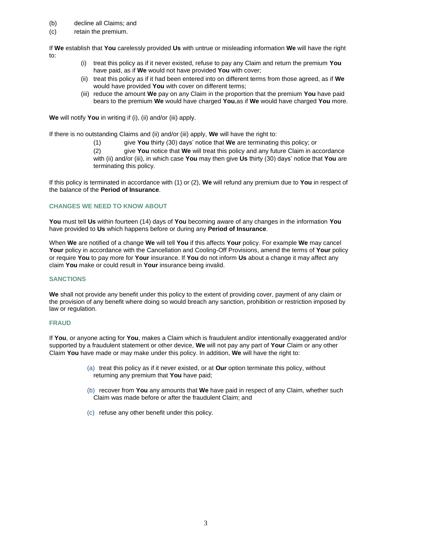- (b) decline all Claims; and
- (c) retain the premium.

If **We** establish that **You** carelessly provided **Us** with untrue or misleading information **We** will have the right to:

- (i) treat this policy as if it never existed, refuse to pay any Claim and return the premium **You** have paid, as if **We** would not have provided **You** with cover;
- (ii) treat this policy as if it had been entered into on different terms from those agreed, as if **We** would have provided **You** with cover on different terms;
- (iii) reduce the amount **We** pay on any Claim in the proportion that the premium **You** have paid bears to the premium **We** would have charged **You**,as if **We** would have charged **You** more.

**We** will notify **You** in writing if (i), (ii) and/or (iii) apply.

If there is no outstanding Claims and (ii) and/or (iii) apply, **We** will have the right to:

(1) give **You** thirty (30) days' notice that **We** are terminating this policy; or

(2) give **You** notice that **We** will treat this policy and any future Claim in accordance with (ii) and/or (iii), in which case **You** may then give **Us** thirty (30) days' notice that **You** are terminating this policy.

If this policy is terminated in accordance with (1) or (2), **We** will refund any premium due to **You** in respect of the balance of the **Period of Insurance**.

## **CHANGES WE NEED TO KNOW ABOUT**

**You** must tell **Us** within fourteen (14) days of **You** becoming aware of any changes in the information **You** have provided to **Us** which happens before or during any **Period of Insurance**.

When **We** are notified of a change **We** will tell **You** if this affects **Your** policy. For example **We** may cancel **Your** policy in accordance with the Cancellation and Cooling-Off Provisions, amend the terms of **Your** policy or require **You** to pay more for **Your** insurance. If **You** do not inform **Us** about a change it may affect any claim **You** make or could result in **Your** insurance being invalid.

## **SANCTIONS**

**We** shall not provide any benefit under this policy to the extent of providing cover, payment of any claim or the provision of any benefit where doing so would breach any sanction, prohibition or restriction imposed by law or regulation.

## **FRAUD**

If **You**, or anyone acting for **You**, makes a Claim which is fraudulent and/or intentionally exaggerated and/or supported by a fraudulent statement or other device, **We** will not pay any part of **Your** Claim or any other Claim **You** have made or may make under this policy. In addition, **We** will have the right to:

- (a) treat this policy as if it never existed, or at **Our** option terminate this policy, without returning any premium that **You** have paid;
- (b) recover from **You** any amounts that **We** have paid in respect of any Claim, whether such Claim was made before or after the fraudulent Claim; and
- (c) refuse any other benefit under this policy.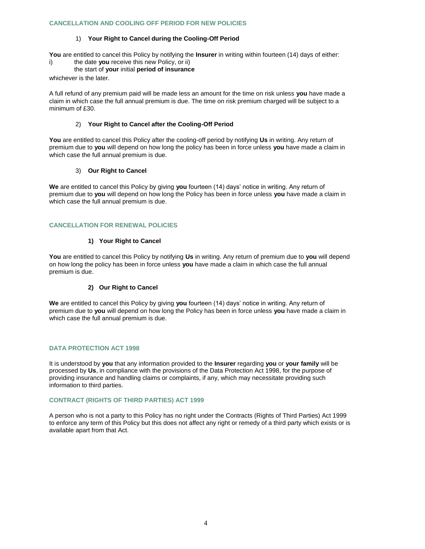## **CANCELLATION AND COOLING OFF PERIOD FOR NEW POLICIES**

## 1) **Your Right to Cancel during the Cooling-Off Period**

**You** are entitled to cancel this Policy by notifying the **Insurer** in writing within fourteen (14) days of either:

i) the date **you** receive this new Policy, or ii)

## the start of **your** initial **period of insurance**

whichever is the later.

A full refund of any premium paid will be made less an amount for the time on risk unless **you** have made a claim in which case the full annual premium is due. The time on risk premium charged will be subject to a minimum of £30.

## 2) **Your Right to Cancel after the Cooling-Off Period**

**You** are entitled to cancel this Policy after the cooling-off period by notifying **Us** in writing. Any return of premium due to **you** will depend on how long the policy has been in force unless **you** have made a claim in which case the full annual premium is due.

## 3) **Our Right to Cancel**

**We** are entitled to cancel this Policy by giving **you** fourteen (14) days' notice in writing. Any return of premium due to **you** will depend on how long the Policy has been in force unless **you** have made a claim in which case the full annual premium is due.

## **CANCELLATION FOR RENEWAL POLICIES**

## **1) Your Right to Cancel**

**You** are entitled to cancel this Policy by notifying **Us** in writing. Any return of premium due to **you** will depend on how long the policy has been in force unless **you** have made a claim in which case the full annual premium is due.

## **2) Our Right to Cancel**

**We** are entitled to cancel this Policy by giving **you** fourteen (14) days' notice in writing. Any return of premium due to **you** will depend on how long the Policy has been in force unless **you** have made a claim in which case the full annual premium is due.

## **DATA PROTECTION ACT 1998**

It is understood by **you** that any information provided to the **Insurer** regarding **you** or **your family** will be processed by **Us**, in compliance with the provisions of the Data Protection Act 1998, for the purpose of providing insurance and handling claims or complaints, if any, which may necessitate providing such information to third parties.

## **CONTRACT (RIGHTS OF THIRD PARTIES) ACT 1999**

A person who is not a party to this Policy has no right under the Contracts (Rights of Third Parties) Act 1999 to enforce any term of this Policy but this does not affect any right or remedy of a third party which exists or is available apart from that Act.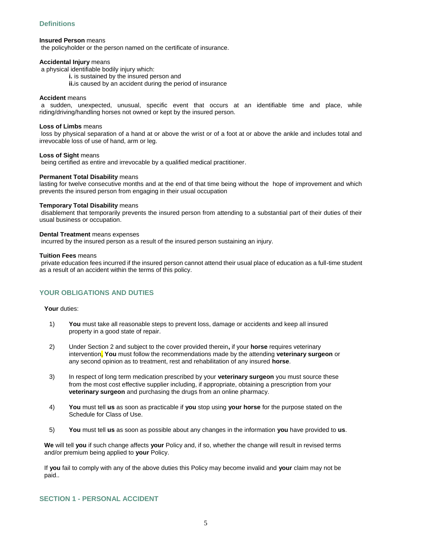## **Definitions**

## **Insured Person** means

the policyholder or the person named on the certificate of insurance.

### **Accidental Injury** means

a physical identifiable bodily injury which:

- **i.** is sustained by the insured person and
- **ii.**is caused by an accident during the period of insurance

## **Accident** means

a sudden, unexpected, unusual, specific event that occurs at an identifiable time and place, while riding/driving/handling horses not owned or kept by the insured person.

## **Loss of Limbs** means

loss by physical separation of a hand at or above the wrist or of a foot at or above the ankle and includes total and irrevocable loss of use of hand, arm or leg.

## **Loss of Sight** means

being certified as entire and irrevocable by a qualified medical practitioner.

## **Permanent Total Disability** means

lasting for twelve consecutive months and at the end of that time being without the hope of improvement and which prevents the insured person from engaging in their usual occupation

#### **Temporary Total Disability** means

disablement that temporarily prevents the insured person from attending to a substantial part of their duties of their usual business or occupation.

## **Dental Treatment** means expenses

incurred by the insured person as a result of the insured person sustaining an injury.

## **Tuition Fees** means

private education fees incurred if the insured person cannot attend their usual place of education as a full-time student as a result of an accident within the terms of this policy.

## **YOUR OBLIGATIONS AND DUTIES**

### **Your** duties:

- 1) **You** must take all reasonable steps to prevent loss, damage or accidents and keep all insured property in a good state of repair.
- 2) Under Section 2 and subject to the cover provided therein**,** if your **horse** requires veterinary intervention, **You** must follow the recommendations made by the attending **veterinary surgeon** or any second opinion as to treatment, rest and rehabilitation of any insured **horse**.
- 3) In respect of long term medication prescribed by your **veterinary surgeon** you must source these from the most cost effective supplier including, if appropriate, obtaining a prescription from your **veterinary surgeon** and purchasing the drugs from an online pharmacy.
- 4) **You** must tell **us** as soon as practicable if **you** stop using **your horse** for the purpose stated on the Schedule for Class of Use.
- 5) **You** must tell **us** as soon as possible about any changes in the information **you** have provided to **us**.

**We** will tell **you** if such change affects **your** Policy and, if so, whether the change will result in revised terms and/or premium being applied to **your** Policy.

If **you** fail to comply with any of the above duties this Policy may become invalid and **your** claim may not be paid..

## **SECTION 1 - PERSONAL ACCIDENT**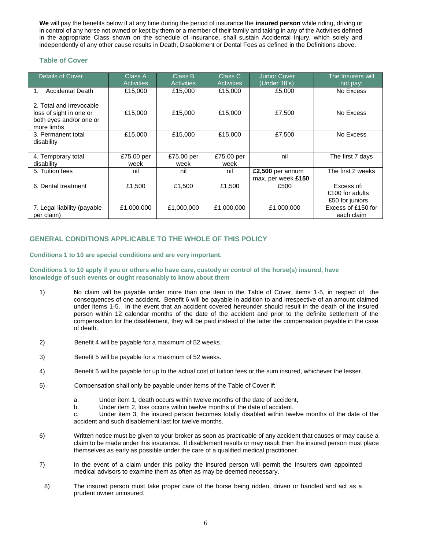**We** will pay the benefits below if at any time during the period of insurance the **insured person** while riding, driving or in control of any horse not owned or kept by them or a member of their family and taking in any of the Activities defined in the appropriate Class shown on the schedule of insurance, shall sustain Accidental Injury, which solely and independently of any other cause results in Death, Disablement or Dental Fees as defined in the Definitions above.

## **Table of Cover**

| <b>Details of Cover</b>                                                                      | Class A<br><b>Activities</b> | Class B<br><b>Activities</b> | Class C<br><b>Activities</b> | <b>Junior Cover</b><br>(Under 18's)    | The Insurers will<br>not pay:                    |
|----------------------------------------------------------------------------------------------|------------------------------|------------------------------|------------------------------|----------------------------------------|--------------------------------------------------|
| <b>Accidental Death</b><br>1.                                                                | £15,000                      | £15,000                      | £15,000                      | £5,000                                 | No Excess                                        |
| 2. Total and irrevocable<br>loss of sight in one or<br>both eyes and/or one or<br>more limbs | £15,000                      | £15,000                      | £15,000                      | £7,500                                 | No Excess                                        |
| 3. Permanent total<br>disability                                                             | £15,000                      | £15,000                      | £15,000                      | £7,500                                 | No Excess                                        |
| 4. Temporary total<br>disability                                                             | £75.00 per<br>week           | £75.00 per<br>week           | £75.00 per<br>week           | nil                                    | The first 7 days                                 |
| 5. Tuition fees                                                                              | nil                          | nil                          | nil                          | £2,500 per annum<br>max. per week £150 | The first 2 weeks                                |
| 6. Dental treatment                                                                          | £1,500                       | £1,500                       | £1,500                       | £500                                   | Excess of:<br>£100 for adults<br>£50 for juniors |
| 7. Legal liability (payable<br>per claim)                                                    | £1,000,000                   | £1,000,000                   | £1,000,000                   | £1,000,000                             | Excess of £150 for<br>each claim                 |

## **GENERAL CONDITIONS APPLICABLE TO THE WHOLE OF THIS POLICY**

**Conditions 1 to 10 are special conditions and are very important.** 

## **Conditions 1 to 10 apply if you or others who have care, custody or control of the horse(s) insured, have knowledge of such events or ought reasonably to know about them**

- 1) No claim will be payable under more than one item in the Table of Cover, items 1-5, in respect of the consequences of one accident. Benefit 6 will be payable in addition to and irrespective of an amount claimed under items 1-5. In the event that an accident covered hereunder should result in the death of the insured person within 12 calendar months of the date of the accident and prior to the definite settlement of the compensation for the disablement, they will be paid instead of the latter the compensation payable in the case of death.
- 2) Benefit 4 will be payable for a maximum of 52 weeks.
- 3) Benefit 5 will be payable for a maximum of 52 weeks.
- 4) Benefit 5 will be payable for up to the actual cost of tuition fees or the sum insured, whichever the lesser.
- 5) Compensation shall only be payable under items of the Table of Cover if:
	- a. Under item 1, death occurs within twelve months of the date of accident,
	- b. Under item 2, loss occurs within twelve months of the date of accident,
	- c. Under item 3, the insured person becomes totally disabled within twelve months of the date of the accident and such disablement last for twelve months.
- 6) Written notice must be given to your broker as soon as practicable of any accident that causes or may cause a claim to be made under this insurance. If disablement results or may result then the insured person must place themselves as early as possible under the care of a qualified medical practitioner.
- 7) In the event of a claim under this policy the insured person will permit the Insurers own appointed medical advisors to examine them as often as may be deemed necessary.
- 8) The insured person must take proper care of the horse being ridden, driven or handled and act as a prudent owner uninsured.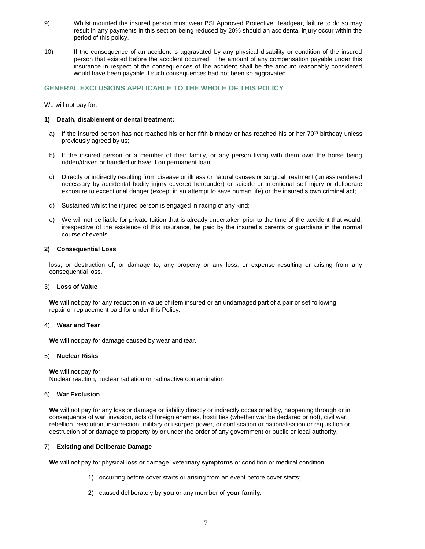- 9) Whilst mounted the insured person must wear BSI Approved Protective Headgear, failure to do so may result in any payments in this section being reduced by 20% should an accidental injury occur within the period of this policy.
- 10) If the consequence of an accident is aggravated by any physical disability or condition of the insured person that existed before the accident occurred. The amount of any compensation payable under this insurance in respect of the consequences of the accident shall be the amount reasonably considered would have been payable if such consequences had not been so aggravated.

## **GENERAL EXCLUSIONS APPLICABLE TO THE WHOLE OF THIS POLICY**

We will not pay for:

## **1) Death, disablement or dental treatment:**

- a) If the insured person has not reached his or her fifth birthday or has reached his or her  $70<sup>th</sup>$  birthday unless previously agreed by us;
- b) If the insured person or a member of their family, or any person living with them own the horse being ridden/driven or handled or have it on permanent loan.
- c) Directly or indirectly resulting from disease or illness or natural causes or surgical treatment (unless rendered necessary by accidental bodily injury covered hereunder) or suicide or intentional self injury or deliberate exposure to exceptional danger (except in an attempt to save human life) or the insured's own criminal act;
- d) Sustained whilst the injured person is engaged in racing of any kind;
- e) We will not be liable for private tuition that is already undertaken prior to the time of the accident that would, irrespective of the existence of this insurance, be paid by the insured's parents or guardians in the normal course of events.

## **2) Consequential Loss**

loss, or destruction of, or damage to, any property or any loss, or expense resulting or arising from any consequential loss.

#### 3) **Loss of Value**

**We** will not pay for any reduction in value of item insured or an undamaged part of a pair or set following repair or replacement paid for under this Policy.

#### 4) **Wear and Tear**

**We** will not pay for damage caused by wear and tear.

#### 5) **Nuclear Risks**

**We** will not pay for: Nuclear reaction, nuclear radiation or radioactive contamination

## 6) **War Exclusion**

**We** will not pay for any loss or damage or liability directly or indirectly occasioned by, happening through or in consequence of war, invasion, acts of foreign enemies, hostilities (whether war be declared or not), civil war, rebellion, revolution, insurrection, military or usurped power, or confiscation or nationalisation or requisition or destruction of or damage to property by or under the order of any government or public or local authority.

## 7) **Existing and Deliberate Damage**

**We** will not pay for physical loss or damage, veterinary **symptoms** or condition or medical condition

- 1) occurring before cover starts or arising from an event before cover starts;
- 2) caused deliberately by **you** or any member of **your family**.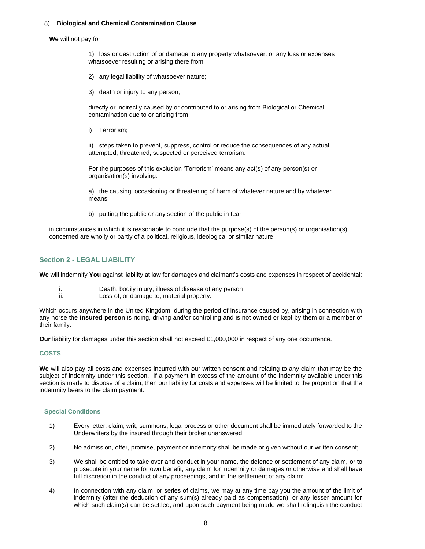## 8) **Biological and Chemical Contamination Clause**

#### **We** will not pay for

1) loss or destruction of or damage to any property whatsoever, or any loss or expenses whatsoever resulting or arising there from;

- 2) any legal liability of whatsoever nature;
- 3) death or injury to any person;

directly or indirectly caused by or contributed to or arising from Biological or Chemical contamination due to or arising from

i) Terrorism;

ii) steps taken to prevent, suppress, control or reduce the consequences of any actual, attempted, threatened, suspected or perceived terrorism.

For the purposes of this exclusion 'Terrorism' means any act(s) of any person(s) or organisation(s) involving:

a) the causing, occasioning or threatening of harm of whatever nature and by whatever means;

b) putting the public or any section of the public in fear

in circumstances in which it is reasonable to conclude that the purpose(s) of the person(s) or organisation(s) concerned are wholly or partly of a political, religious, ideological or similar nature.

## **Section 2 - LEGAL LIABILITY**

**We** will indemnify **You** against liability at law for damages and claimant's costs and expenses in respect of accidental:

- i. Death, bodily injury, illness of disease of any person
- ii. Loss of, or damage to, material property.

Which occurs anywhere in the United Kingdom, during the period of insurance caused by, arising in connection with any horse the **insured person** is riding, driving and/or controlling and is not owned or kept by them or a member of their family.

**Our** liability for damages under this section shall not exceed £1,000,000 in respect of any one occurrence.

## **COSTS**

**We** will also pay all costs and expenses incurred with our written consent and relating to any claim that may be the subject of indemnity under this section. If a payment in excess of the amount of the indemnity available under this section is made to dispose of a claim, then our liability for costs and expenses will be limited to the proportion that the indemnity bears to the claim payment.

## **Special Conditions**

- 1) Every letter, claim, writ, summons, legal process or other document shall be immediately forwarded to the Underwriters by the insured through their broker unanswered;
- 2) No admission, offer, promise, payment or indemnity shall be made or given without our written consent;
- 3) We shall be entitled to take over and conduct in your name, the defence or settlement of any claim, or to prosecute in your name for own benefit, any claim for indemnity or damages or otherwise and shall have full discretion in the conduct of any proceedings, and in the settlement of any claim;
- 4) In connection with any claim, or series of claims, we may at any time pay you the amount of the limit of indemnity (after the deduction of any sum(s) already paid as compensation), or any lesser amount for which such claim(s) can be settled; and upon such payment being made we shall relinquish the conduct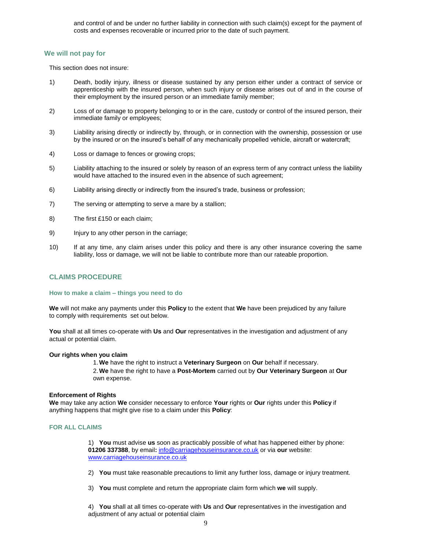and control of and be under no further liability in connection with such claim(s) except for the payment of costs and expenses recoverable or incurred prior to the date of such payment.

## **We will not pay for**

This section does not insure:

- 1) Death, bodily injury, illness or disease sustained by any person either under a contract of service or apprenticeship with the insured person, when such injury or disease arises out of and in the course of their employment by the insured person or an immediate family member;
- 2) Loss of or damage to property belonging to or in the care, custody or control of the insured person, their immediate family or employees;
- 3) Liability arising directly or indirectly by, through, or in connection with the ownership, possession or use by the insured or on the insured's behalf of any mechanically propelled vehicle, aircraft or watercraft;
- 4) Loss or damage to fences or growing crops;
- 5) Liability attaching to the insured or solely by reason of an express term of any contract unless the liability would have attached to the insured even in the absence of such agreement;
- 6) Liability arising directly or indirectly from the insured's trade, business or profession;
- 7) The serving or attempting to serve a mare by a stallion;
- 8) The first £150 or each claim;
- 9) Injury to any other person in the carriage;
- 10) If at any time, any claim arises under this policy and there is any other insurance covering the same liability, loss or damage, we will not be liable to contribute more than our rateable proportion.

## **CLAIMS PROCEDURE**

#### **How to make a claim – things you need to do**

**We** will not make any payments under this **Policy** to the extent that **We** have been prejudiced by any failure to comply with requirements set out below.

**You** shall at all times co-operate with **Us** and **Our** representatives in the investigation and adjustment of any actual or potential claim.

#### **Our rights when you claim**

1.**We** have the right to instruct a **Veterinary Surgeon** on **Our** behalf if necessary.

2.**We** have the right to have a **Post-Mortem** carried out by **Our Veterinary Surgeon** at **Our** own expense.

#### **Enforcement of Rights**

**We** may take any action **We** consider necessary to enforce **Your** rights or **Our** rights under this **Policy** if anything happens that might give rise to a claim under this **Policy**:

## **FOR ALL CLAIMS**

1) **You** must advise **us** soon as practicably possible of what has happened either by phone: **01206 337388**, by email**:** info@carriagehouseinsurance.co.uk or via **our** website: www.carriagehouseinsurance.co.uk

- 2) **You** must take reasonable precautions to limit any further loss, damage or injury treatment.
- 3) **You** must complete and return the appropriate claim form which **we** will supply.

4) **You** shall at all times co-operate with **Us** and **Our** representatives in the investigation and adjustment of any actual or potential claim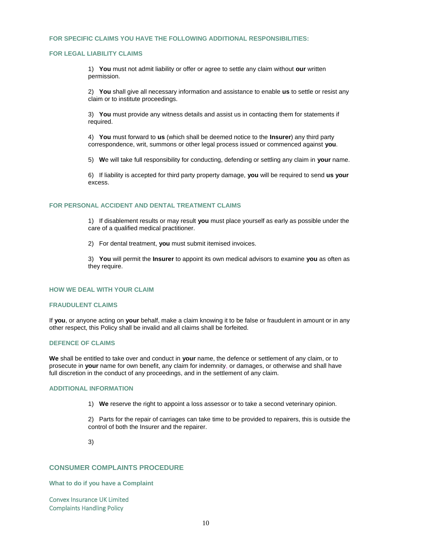## **FOR SPECIFIC CLAIMS YOU HAVE THE FOLLOWING ADDITIONAL RESPONSIBILITIES:**

## **FOR LEGAL LIABILITY CLAIMS**

1) **You** must not admit liability or offer or agree to settle any claim without **our** written permission.

2) **You** shall give all necessary information and assistance to enable **us** to settle or resist any claim or to institute proceedings.

3) **You** must provide any witness details and assist us in contacting them for statements if required.

4) **You** must forward to **us** (which shall be deemed notice to the **Insurer**) any third party correspondence, writ, summons or other legal process issued or commenced against **you**.

5) **W**e will take full responsibility for conducting, defending or settling any claim in **your** name.

6) If liability is accepted for third party property damage, **you** will be required to send **us your** excess.

## **FOR PERSONAL ACCIDENT AND DENTAL TREATMENT CLAIMS**

1) If disablement results or may result **you** must place yourself as early as possible under the care of a qualified medical practitioner.

2) For dental treatment, **you** must submit itemised invoices.

3) **You** will permit the **Insurer** to appoint its own medical advisors to examine **you** as often as they require.

## **HOW WE DEAL WITH YOUR CLAIM**

#### **FRAUDULENT CLAIMS**

If **you**, or anyone acting on **your** behalf, make a claim knowing it to be false or fraudulent in amount or in any other respect, this Policy shall be invalid and all claims shall be forfeited.

## **DEFENCE OF CLAIMS**

**We** shall be entitled to take over and conduct in **your** name, the defence or settlement of any claim, or to prosecute in **your** name for own benefit, any claim for indemnity, or damages, or otherwise and shall have full discretion in the conduct of any proceedings, and in the settlement of any claim.

## **ADDITIONAL INFORMATION**

1) **We** reserve the right to appoint a loss assessor or to take a second veterinary opinion.

2) Parts for the repair of carriages can take time to be provided to repairers, this is outside the control of both the Insurer and the repairer.

3)

## **CONSUMER COMPLAINTS PROCEDURE**

**What to do if you have a Complaint** 

Convex Insurance UK Limited Complaints Handling Policy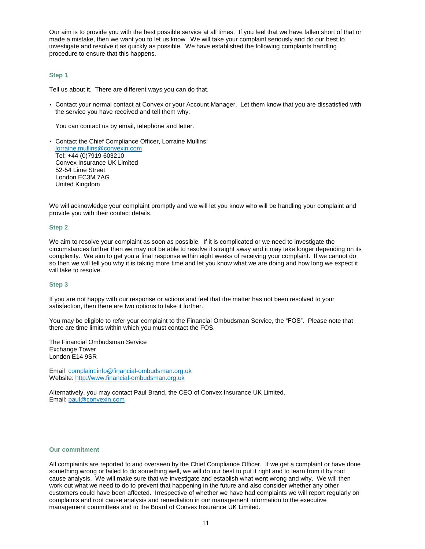Our aim is to provide you with the best possible service at all times. If you feel that we have fallen short of that or made a mistake, then we want you to let us know. We will take your complaint seriously and do our best to investigate and resolve it as quickly as possible. We have established the following complaints handling procedure to ensure that this happens.

## **Step 1**

Tell us about it. There are different ways you can do that.

• Contact your normal contact at Convex or your Account Manager. Let them know that you are dissatisfied with the service you have received and tell them why.

You can contact us by email, telephone and letter.

• Contact the Chief Compliance Officer, Lorraine Mullins: [lorraine.mullins@convexin.com](mailto:lorraine.mullins@convexin.com) Tel: +44 (0)7919 603210 Convex Insurance UK Limited 52-54 Lime Street London EC3M 7AG United Kingdom

We will acknowledge your complaint promptly and we will let you know who will be handling your complaint and provide you with their contact details.

## **Step 2**

We aim to resolve your complaint as soon as possible. If it is complicated or we need to investigate the circumstances further then we may not be able to resolve it straight away and it may take longer depending on its complexity. We aim to get you a final response within eight weeks of receiving your complaint. If we cannot do so then we will tell you why it is taking more time and let you know what we are doing and how long we expect it will take to resolve.

## **Step 3**

If you are not happy with our response or actions and feel that the matter has not been resolved to your satisfaction, then there are two options to take it further.

You may be eligible to refer your complaint to the Financial Ombudsman Service, the "FOS". Please note that there are time limits within which you must contact the FOS.

The Financial Ombudsman Service Exchange Tower London E14 9SR

Email: [complaint.info@financial-ombudsman.org.uk](mailto:complaint.info@financial-ombudsman.org.uk) Website: [http://www.financial-](http://www.financial/)ombudsman.org.uk

Alternatively, you may contact Paul Brand, the CEO of Convex Insurance UK Limited. Email: [paul@convexin.com](mailto:paul@convexin.com)

## **Our commitment**

All complaints are reported to and overseen by the Chief Compliance Officer. If we get a complaint or have done something wrong or failed to do something well, we will do our best to put it right and to learn from it by root cause analysis. We will make sure that we investigate and establish what went wrong and why. We will then work out what we need to do to prevent that happening in the future and also consider whether any other customers could have been affected. Irrespective of whether we have had complaints we will report regularly on complaints and root cause analysis and remediation in our management information to the executive management committees and to the Board of Convex Insurance UK Limited.